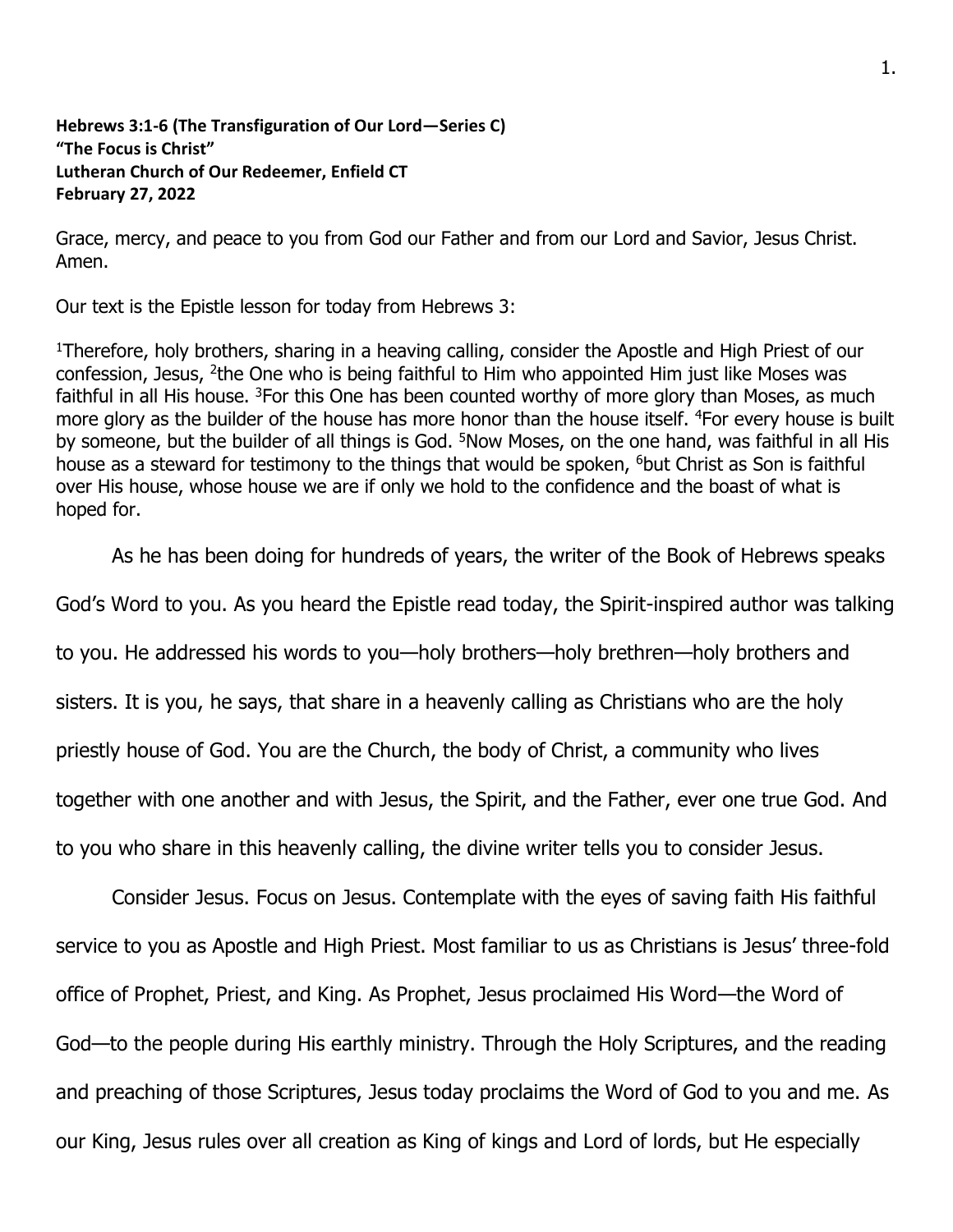## **Hebrews 3:1-6 (The Transfiguration of Our Lord—Series C) "The Focus is Christ" Lutheran Church of Our Redeemer, Enfield CT February 27, 2022**

Grace, mercy, and peace to you from God our Father and from our Lord and Savior, Jesus Christ. Amen.

Our text is the Epistle lesson for today from Hebrews 3:

<sup>1</sup>Therefore, holy brothers, sharing in a heaving calling, consider the Apostle and High Priest of our confession, Jesus, <sup>2</sup>the One who is being faithful to Him who appointed Him just like Moses was faithful in all His house. <sup>3</sup>For this One has been counted worthy of more glory than Moses, as much more glory as the builder of the house has more honor than the house itself. <sup>4</sup>For every house is built by someone, but the builder of all things is God. <sup>5</sup>Now Moses, on the one hand, was faithful in all His house as a steward for testimony to the things that would be spoken, <sup>6</sup>but Christ as Son is faithful over His house, whose house we are if only we hold to the confidence and the boast of what is hoped for.

As he has been doing for hundreds of years, the writer of the Book of Hebrews speaks

God's Word to you. As you heard the Epistle read today, the Spirit-inspired author was talking

to you. He addressed his words to you—holy brothers—holy brethren—holy brothers and

sisters. It is you, he says, that share in a heavenly calling as Christians who are the holy

priestly house of God. You are the Church, the body of Christ, a community who lives

together with one another and with Jesus, the Spirit, and the Father, ever one true God. And

to you who share in this heavenly calling, the divine writer tells you to consider Jesus.

Consider Jesus. Focus on Jesus. Contemplate with the eyes of saving faith His faithful service to you as Apostle and High Priest. Most familiar to us as Christians is Jesus' three-fold office of Prophet, Priest, and King. As Prophet, Jesus proclaimed His Word—the Word of God—to the people during His earthly ministry. Through the Holy Scriptures, and the reading and preaching of those Scriptures, Jesus today proclaims the Word of God to you and me. As our King, Jesus rules over all creation as King of kings and Lord of lords, but He especially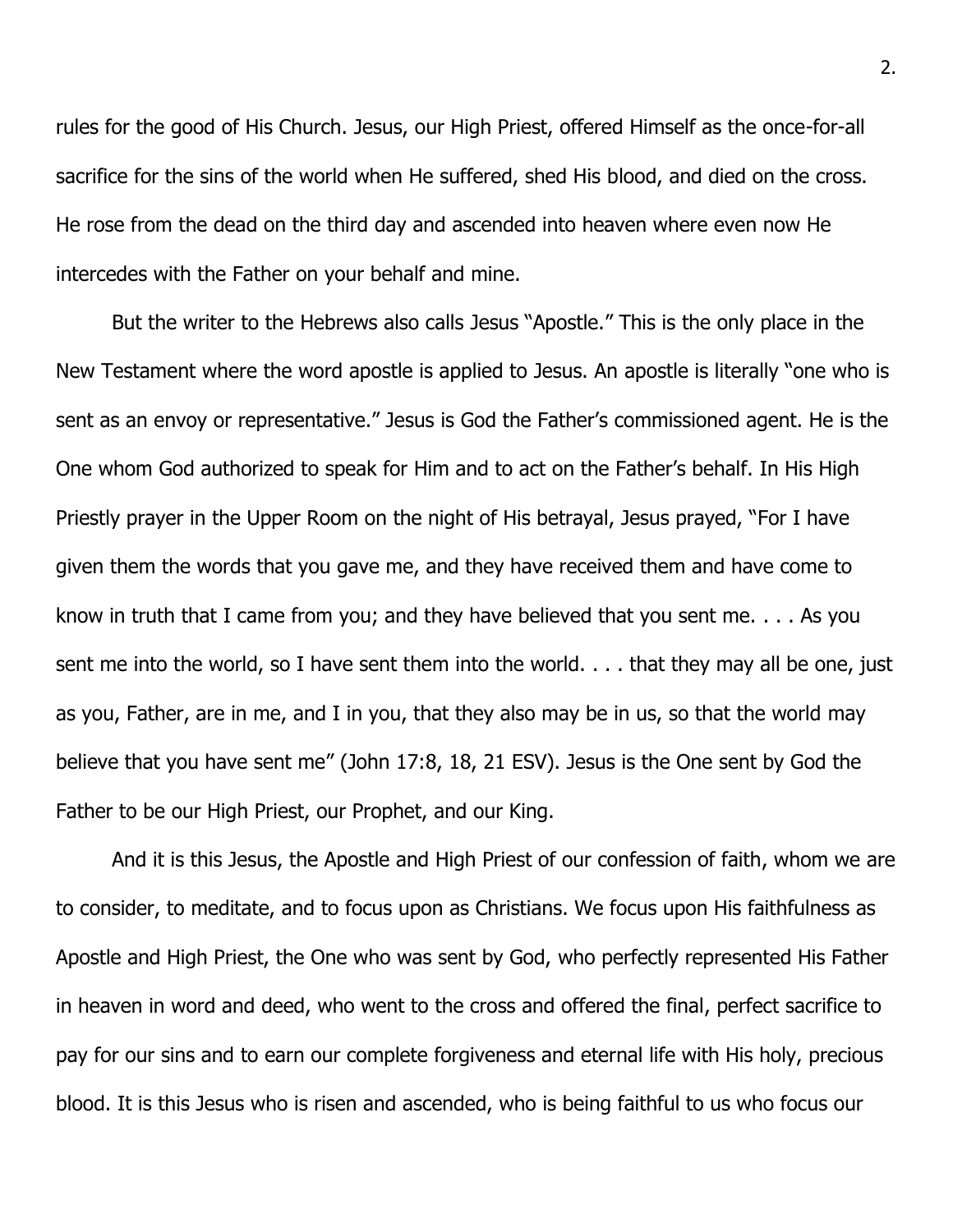rules for the good of His Church. Jesus, our High Priest, offered Himself as the once-for-all sacrifice for the sins of the world when He suffered, shed His blood, and died on the cross. He rose from the dead on the third day and ascended into heaven where even now He intercedes with the Father on your behalf and mine.

But the writer to the Hebrews also calls Jesus "Apostle." This is the only place in the New Testament where the word apostle is applied to Jesus. An apostle is literally "one who is sent as an envoy or representative." Jesus is God the Father's commissioned agent. He is the One whom God authorized to speak for Him and to act on the Father's behalf. In His High Priestly prayer in the Upper Room on the night of His betrayal, Jesus prayed, "For I have given them the words that you gave me, and they have received them and have come to know in truth that I came from you; and they have believed that you sent me. . . . As you sent me into the world, so I have sent them into the world. . . . that they may all be one, just as you, Father, are in me, and I in you, that they also may be in us, so that the world may believe that you have sent me" (John 17:8, 18, 21 ESV). Jesus is the One sent by God the Father to be our High Priest, our Prophet, and our King.

And it is this Jesus, the Apostle and High Priest of our confession of faith, whom we are to consider, to meditate, and to focus upon as Christians. We focus upon His faithfulness as Apostle and High Priest, the One who was sent by God, who perfectly represented His Father in heaven in word and deed, who went to the cross and offered the final, perfect sacrifice to pay for our sins and to earn our complete forgiveness and eternal life with His holy, precious blood. It is this Jesus who is risen and ascended, who is being faithful to us who focus our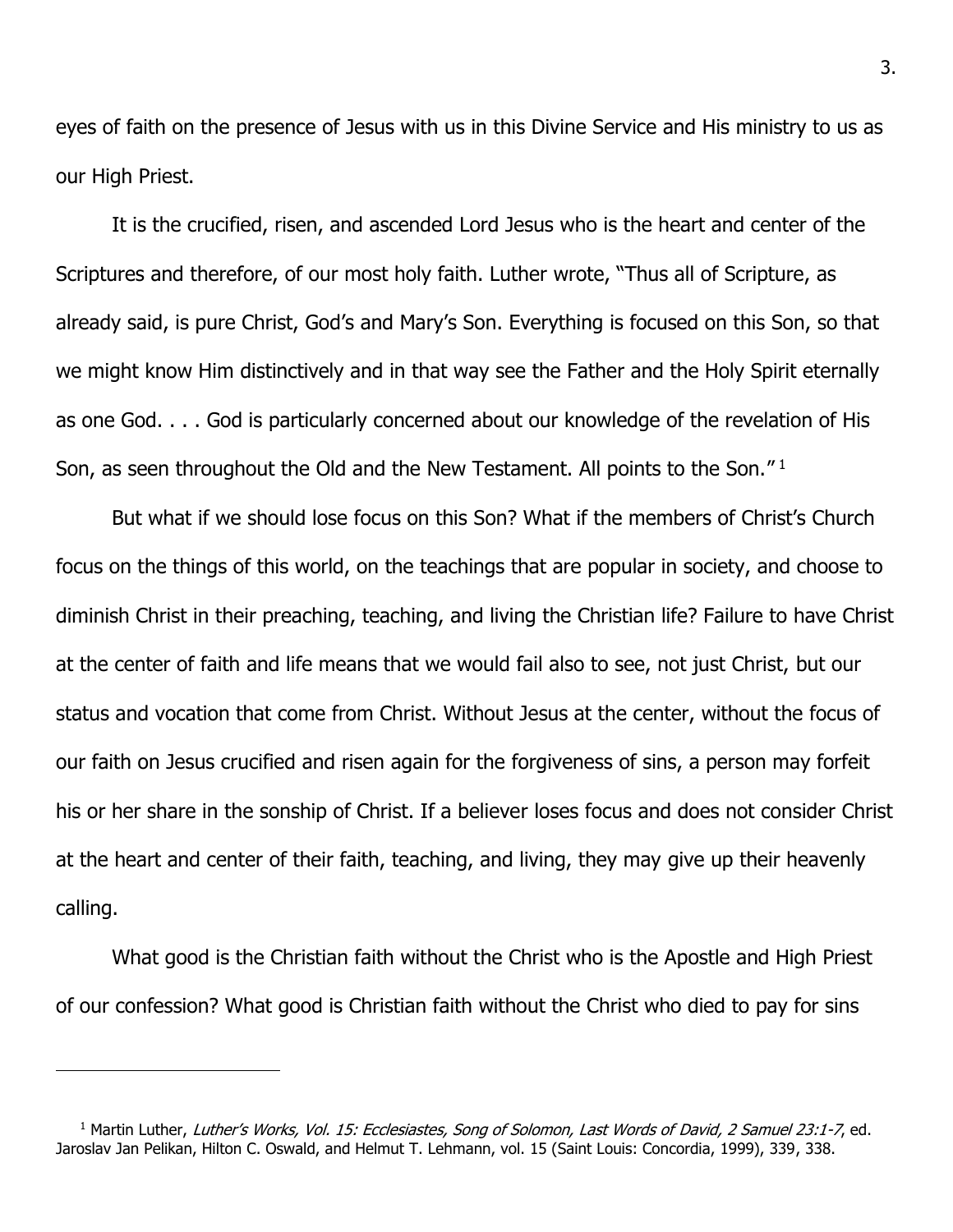eyes of faith on the presence of Jesus with us in this Divine Service and His ministry to us as our High Priest.

It is the crucified, risen, and ascended Lord Jesus who is the heart and center of the Scriptures and therefore, of our most holy faith. Luther wrote, "Thus all of Scripture, as already said, is pure Christ, God's and Mary's Son. Everything is focused on this Son, so that we might know Him distinctively and in that way see the Father and the Holy Spirit eternally as one God. . . . God is particularly concerned about our knowledge of the revelation of His Son, as seen throughout the Old and the New Testament. All points to the Son."<sup>1</sup>

But what if we should lose focus on this Son? What if the members of Christ's Church focus on the things of this world, on the teachings that are popular in society, and choose to diminish Christ in their preaching, teaching, and living the Christian life? Failure to have Christ at the center of faith and life means that we would fail also to see, not just Christ, but our status and vocation that come from Christ. Without Jesus at the center, without the focus of our faith on Jesus crucified and risen again for the forgiveness of sins, a person may forfeit his or her share in the sonship of Christ. If a believer loses focus and does not consider Christ at the heart and center of their faith, teaching, and living, they may give up their heavenly calling.

What good is the Christian faith without the Christ who is the Apostle and High Priest of our confession? What good is Christian faith without the Christ who died to pay for sins

<sup>&</sup>lt;sup>1</sup> Martin Luther, Luther's Works, Vol. 15: Ecclesiastes, Song of Solomon, Last Words of David, 2 Samuel 23:1-7, ed. Jaroslav Jan Pelikan, Hilton C. Oswald, and Helmut T. Lehmann, vol. 15 (Saint Louis: Concordia, 1999), 339, 338.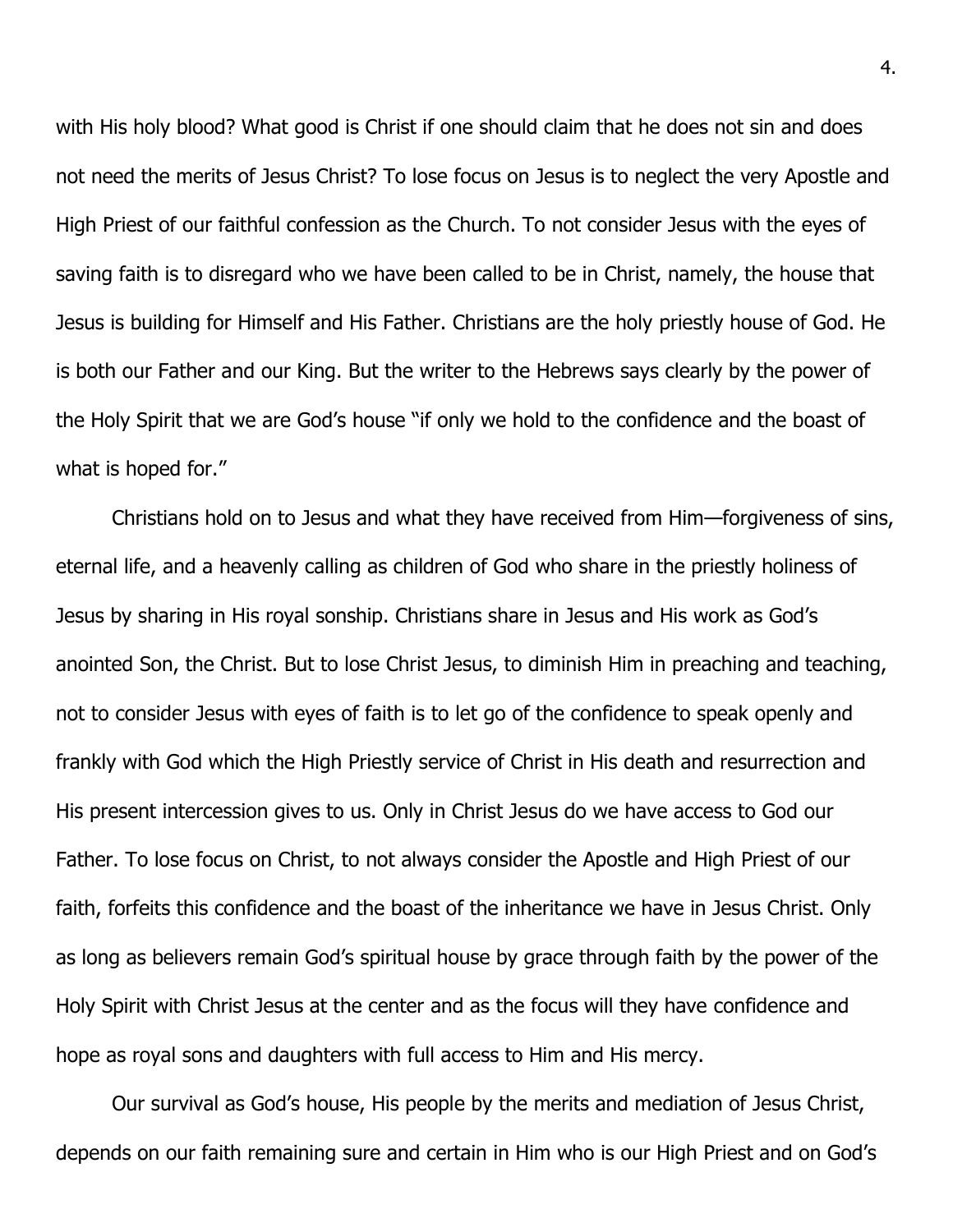with His holy blood? What good is Christ if one should claim that he does not sin and does not need the merits of Jesus Christ? To lose focus on Jesus is to neglect the very Apostle and High Priest of our faithful confession as the Church. To not consider Jesus with the eyes of saving faith is to disregard who we have been called to be in Christ, namely, the house that Jesus is building for Himself and His Father. Christians are the holy priestly house of God. He is both our Father and our King. But the writer to the Hebrews says clearly by the power of the Holy Spirit that we are God's house "if only we hold to the confidence and the boast of what is hoped for."

Christians hold on to Jesus and what they have received from Him—forgiveness of sins, eternal life, and a heavenly calling as children of God who share in the priestly holiness of Jesus by sharing in His royal sonship. Christians share in Jesus and His work as God's anointed Son, the Christ. But to lose Christ Jesus, to diminish Him in preaching and teaching, not to consider Jesus with eyes of faith is to let go of the confidence to speak openly and frankly with God which the High Priestly service of Christ in His death and resurrection and His present intercession gives to us. Only in Christ Jesus do we have access to God our Father. To lose focus on Christ, to not always consider the Apostle and High Priest of our faith, forfeits this confidence and the boast of the inheritance we have in Jesus Christ. Only as long as believers remain God's spiritual house by grace through faith by the power of the Holy Spirit with Christ Jesus at the center and as the focus will they have confidence and hope as royal sons and daughters with full access to Him and His mercy.

Our survival as God's house, His people by the merits and mediation of Jesus Christ, depends on our faith remaining sure and certain in Him who is our High Priest and on God's